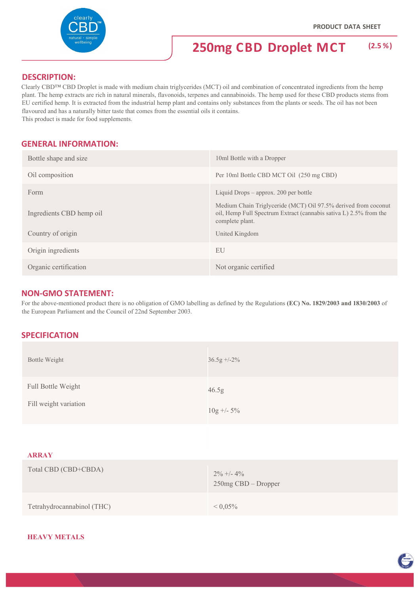**ENTRON** 



## **250mg CBD Droplet MCT (2.5 %)**

## **DESCRIPTION:**

Clearly CBD™ CBD Droplet is made with medium chain triglycerides (MCT) oil and combination of concentrated ingredients from the hemp plant. The hemp extracts are rich in natural minerals, flavonoids, terpenes and cannabinoids. The hemp used for these CBD products stems from EU certified hemp. It is extracted from the industrial hemp plant and contains only substances from the plants or seeds. The oil has not been flavoured and has a naturally bitter taste that comes from the essential oils it contains. This product is made for food supplements.

**GENERAL INFORMATION:**

| Bottle shape and size    | 10ml Bottle with a Dropper                                                                                                                             |
|--------------------------|--------------------------------------------------------------------------------------------------------------------------------------------------------|
| Oil composition          | Per 10ml Bottle CBD MCT Oil (250 mg CBD)                                                                                                               |
| Form                     | Liquid Drops $-$ approx. 200 per bottle                                                                                                                |
| Ingredients CBD hemp oil | Medium Chain Triglyceride (MCT) Oil 97.5% derived from coconut<br>oil, Hemp Full Spectrum Extract (cannabis sativa L) 2.5% from the<br>complete plant. |
| Country of origin        | United Kingdom                                                                                                                                         |
| Origin ingredients       | EU                                                                                                                                                     |
| Organic certification    | Not organic certified                                                                                                                                  |

## **NON‐GMO STATEMENT:**

For the above-mentioned product there is no obligation of GMO labelling as defined by the Regulations **(EC) No. 1829/2003 and 1830/2003** of the European Parliament and the Council of 22nd September 2003.

## **SPECIFICATION**

| Bottle Weight                               | $36.5g + -2\%$        |
|---------------------------------------------|-----------------------|
| Full Bottle Weight<br>Fill weight variation | 46.5g<br>$10g + -5\%$ |
|                                             |                       |

#### **ARRAY**

| Total CBD (CBD+CBDA)       | $2\% +1 - 4\%$<br>$250mg$ CBD – Dropper |
|----------------------------|-----------------------------------------|
| Tetrahydrocannabinol (THC) | ${}< 0.05\%$                            |

#### **HEAVY METALS**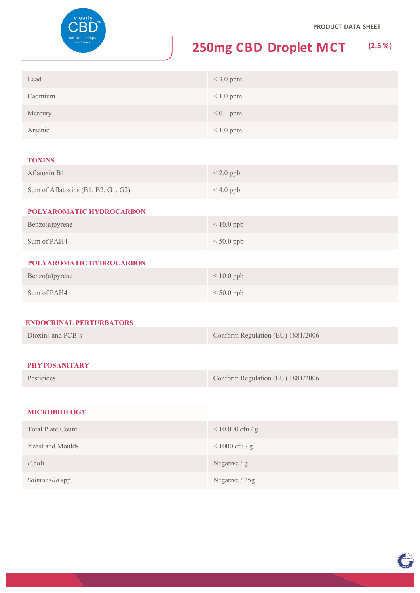

# **250mg CBD Droplet MCT (2.5 %)**

| Lead    | $<$ 3.0 ppm    |
|---------|----------------|
| Cadmium | $\leq 1.0$ ppm |
| Mercury | $< 0.1$ ppm    |
| Arsenic | $\leq 1.0$ ppm |

#### **TOXINS**

| Aflatoxin B1                       | $< 2.0$ ppb |
|------------------------------------|-------------|
| Sum of Aflatoxins (B1, B2, G1, G2) | $< 4.0$ ppb |
| <b>POLYAROMATIC HYDROCARBON</b>    |             |

| Benzo(a)pyrene | $< 10.0$ ppb |
|----------------|--------------|
| Sum of PAH4    | $< 50.0$ ppb |

#### **POLYAROMATIC HYDROCARBON**

| Benzo(a)pyrene | $< 10.0$ ppb |
|----------------|--------------|
| Sum of PAH4    | $< 50.0$ ppb |

#### **ENDOCRINAL PERTURBATORS**

| Dioxins and PCB's | Conform Regulation (EU) 1881/2006 |
|-------------------|-----------------------------------|
|                   |                                   |

## **PHYTOSANITARY**

| Pesticides | Conform Regulation (EU) 1881/2006 |
|------------|-----------------------------------|
|------------|-----------------------------------|

### **MICROBIOLOGY**

| <b>Total Plate Count</b> | $< 10.000$ cfu / g |
|--------------------------|--------------------|
| <b>Yeast and Moulds</b>  | $<$ 1000 cfu / g   |
| E.coli                   | Negative $/g$      |
| Salmonella spp.          | Negative / 25g     |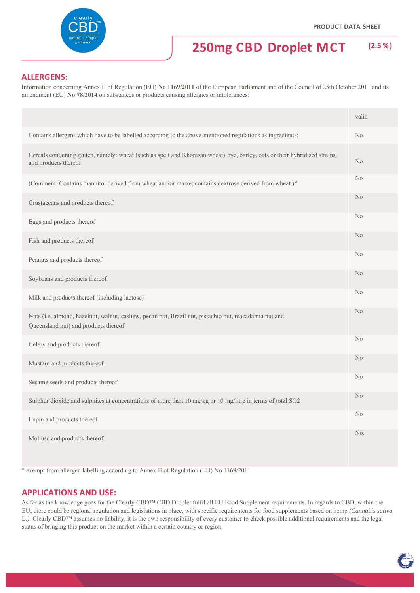TOVING

## **250mg CBD Droplet MCT (2.5 %)**

## **ALLERGENS:**

Information concerning Annex II of Regulation (EU) **No 1169/2011** of the European Parliament and of the Council of 25th October 2011 and its amendment (EU) **No 78/2014** on substances or products causing allergies or intolerances:

|                                                                                                                                                     | valid          |
|-----------------------------------------------------------------------------------------------------------------------------------------------------|----------------|
| Contains allergens which have to be labelled according to the above-mentioned regulations as ingredients:                                           | No             |
| Cereals containing gluten, namely: wheat (such as spelt and Khorasan wheat), rye, barley, oats or their hybridised strains,<br>and products thereof | No             |
| (Comment: Contains mannitol derived from wheat and/or maize; contains dextrose derived from wheat.)*                                                | N <sub>o</sub> |
| Crustaceans and products thereof                                                                                                                    | N <sub>o</sub> |
| Eggs and products thereof                                                                                                                           | N <sub>o</sub> |
| Fish and products thereof                                                                                                                           | N <sub>o</sub> |
| Peanuts and products thereof                                                                                                                        | N <sub>o</sub> |
| Soybeans and products thereof                                                                                                                       | N <sub>o</sub> |
| Milk and products thereof (including lactose)                                                                                                       | N <sub>o</sub> |
| Nuts (i.e. almond, hazelnut, walnut, cashew, pecan nut, Brazil nut, pistachio nut, macadamia nut and<br>Queensland nut) and products thereof        | N <sub>o</sub> |
| Celery and products thereof                                                                                                                         | N <sub>o</sub> |
| Mustard and products thereof                                                                                                                        | N <sub>o</sub> |
| Sesame seeds and products thereof                                                                                                                   | No             |
| Sulphur dioxide and sulphites at concentrations of more than 10 mg/kg or 10 mg/litre in terms of total SO2                                          | N <sub>o</sub> |
| Lupin and products thereof                                                                                                                          | No             |
| Mollusc and products thereof                                                                                                                        | No.            |

\* exempt from allergen labelling according to Annex II of Regulation (EU) No 1169/2011

#### **APPLICATIONS AND USE:**

As far as the knowledge goes for the Clearly CBD™ CBD Droplet fulfil all EU Food Supplement requirements. In regards to CBD, within the EU, there could be regional regulation and legislations in place, with specific requirements for food supplements based on hemp *(Cannabis sativa*  L.). Clearly CBD™ assumes no liability, it is the own responsibility of every customer to check possible additional requirements and the legal status of bringing this product on the market within a certain country or region.